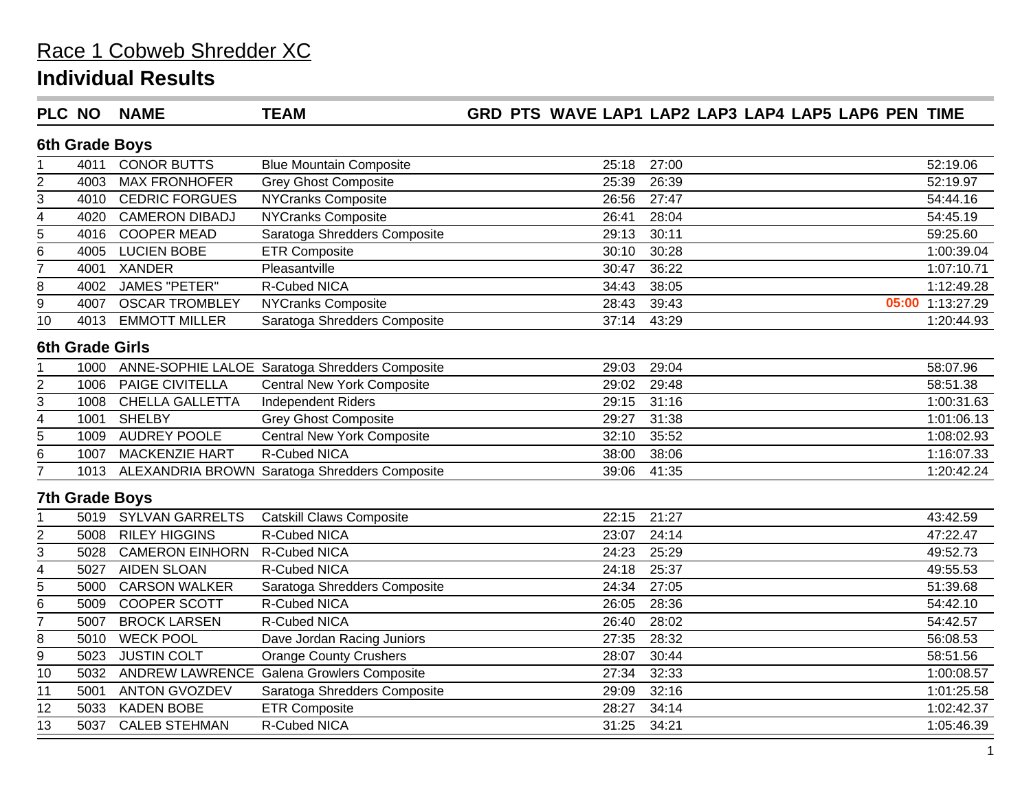#### **Individual Results**

#### **PLC NO NAME TEAM GRD PTS WAVE LAP1 LAP2 LAP3 LAP4 LAP5 LAP6 PEN TIME**

#### **6th Grade Boys**

|                         | 4011                   | <b>CONOR BUTTS</b>     | <b>Blue Mountain Composite</b>                   | 25:18 | 27:00 | 52:19.06         |
|-------------------------|------------------------|------------------------|--------------------------------------------------|-------|-------|------------------|
| $\overline{2}$          | 4003                   | <b>MAX FRONHOFER</b>   | <b>Grey Ghost Composite</b>                      | 25:39 | 26:39 | 52:19.97         |
| 3                       | 4010                   | <b>CEDRIC FORGUES</b>  | <b>NYCranks Composite</b>                        | 26:56 | 27:47 | 54:44.16         |
| 4                       | 4020                   | <b>CAMERON DIBADJ</b>  | <b>NYCranks Composite</b>                        | 26:41 | 28:04 | 54:45.19         |
| 5                       | 4016                   | <b>COOPER MEAD</b>     | Saratoga Shredders Composite                     | 29:13 | 30:11 | 59:25.60         |
| 6                       | 4005                   | <b>LUCIEN BOBE</b>     | <b>ETR Composite</b>                             | 30:10 | 30:28 | 1:00:39.04       |
| 7                       | 4001                   | <b>XANDER</b>          | Pleasantville                                    | 30:47 | 36:22 | 1:07:10.71       |
| 8                       | 4002                   | <b>JAMES "PETER"</b>   | R-Cubed NICA                                     | 34:43 | 38:05 | 1:12:49.28       |
| 9                       | 4007                   | <b>OSCAR TROMBLEY</b>  | <b>NYCranks Composite</b>                        | 28:43 | 39:43 | 05:00 1:13:27.29 |
| 10                      | 4013                   | <b>EMMOTT MILLER</b>   | Saratoga Shredders Composite                     | 37:14 | 43:29 | 1:20:44.93       |
|                         | <b>6th Grade Girls</b> |                        |                                                  |       |       |                  |
|                         | 1000                   |                        | ANNE-SOPHIE LALOE Saratoga Shredders Composite   | 29:03 | 29:04 | 58:07.96         |
| $\overline{\mathbf{c}}$ | 1006                   | PAIGE CIVITELLA        | <b>Central New York Composite</b>                | 29:02 | 29:48 | 58:51.38         |
| 3                       | 1008                   | <b>CHELLA GALLETTA</b> | <b>Independent Riders</b>                        | 29:15 | 31:16 | 1:00:31.63       |
| 4                       | 1001                   | <b>SHELBY</b>          | <b>Grey Ghost Composite</b>                      | 29:27 | 31:38 | 1:01:06.13       |
| 5                       | 1009                   | <b>AUDREY POOLE</b>    | <b>Central New York Composite</b>                | 32:10 | 35:52 | 1:08:02.93       |
| 6                       | 1007                   | <b>MACKENZIE HART</b>  | R-Cubed NICA                                     | 38:00 | 38:06 | 1:16:07.33       |
| 7                       | 1013                   |                        | ALEXANDRIA BROWN Saratoga Shredders Composite    | 39:06 | 41:35 | 1:20:42.24       |
|                         | <b>7th Grade Boys</b>  |                        |                                                  |       |       |                  |
|                         | 5019                   | <b>SYLVAN GARRELTS</b> | <b>Catskill Claws Composite</b>                  | 22:15 | 21:27 | 43:42.59         |
| 2                       | 5008                   | <b>RILEY HIGGINS</b>   | R-Cubed NICA                                     | 23:07 | 24:14 | 47:22.47         |
| 3                       | 5028                   | <b>CAMERON EINHORN</b> | R-Cubed NICA                                     | 24:23 | 25:29 | 49:52.73         |
| 4                       | 5027                   | <b>AIDEN SLOAN</b>     | R-Cubed NICA                                     | 24:18 | 25:37 | 49:55.53         |
| 5                       | 5000                   | <b>CARSON WALKER</b>   | Saratoga Shredders Composite                     | 24:34 | 27:05 | 51:39.68         |
| 6                       | 5009                   | <b>COOPER SCOTT</b>    | R-Cubed NICA                                     | 26:05 | 28:36 | 54:42.10         |
| 7                       | 5007                   | <b>BROCK LARSEN</b>    | R-Cubed NICA                                     | 26:40 | 28:02 | 54:42.57         |
| 8                       | 5010                   | <b>WECK POOL</b>       | Dave Jordan Racing Juniors                       | 27:35 | 28:32 | 56:08.53         |
| 9                       | 5023                   | <b>JUSTIN COLT</b>     | <b>Orange County Crushers</b>                    | 28:07 | 30:44 | 58:51.56         |
| 10                      | 5032                   |                        | <b>ANDREW LAWRENCE Galena Growlers Composite</b> | 27:34 | 32:33 | 1:00:08.57       |
| 11                      | 5001                   | <b>ANTON GVOZDEV</b>   | Saratoga Shredders Composite                     | 29:09 | 32:16 | 1:01:25.58       |
| $\overline{12}$         | 5033                   | <b>KADEN BOBE</b>      | <b>ETR Composite</b>                             | 28:27 | 34:14 | 1:02:42.37       |
| 13                      | 5037                   | <b>CALEB STEHMAN</b>   | <b>R-Cubed NICA</b>                              | 31:25 | 34:21 | 1:05:46.39       |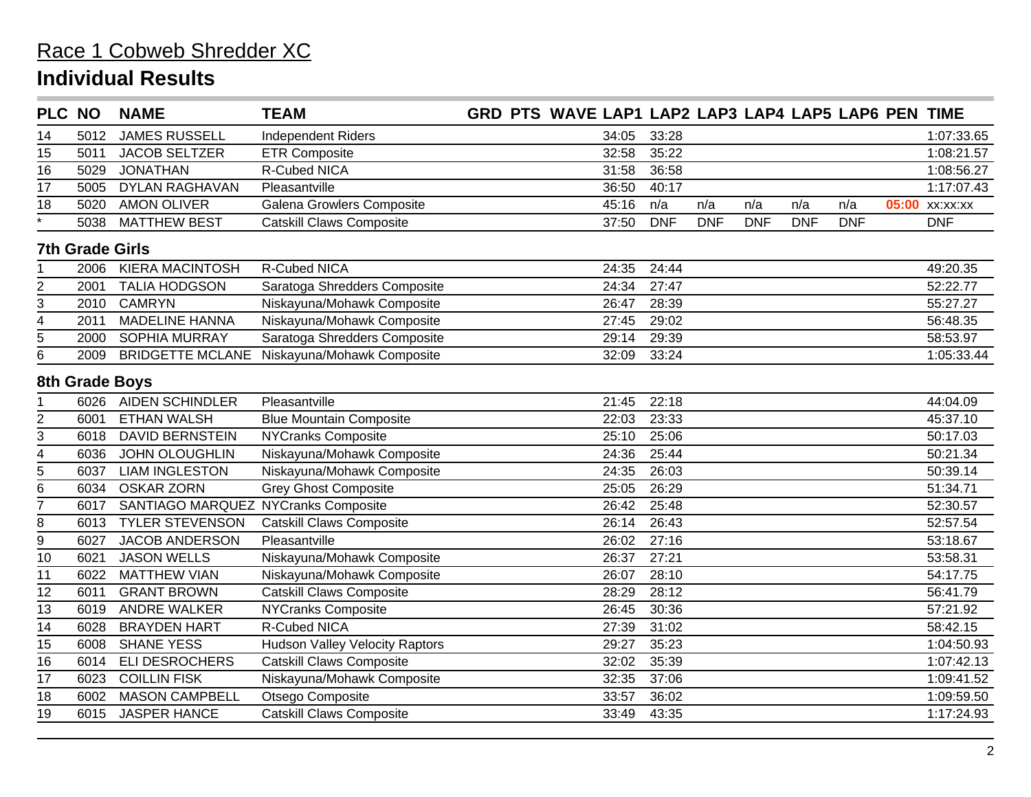| <b>PLC NO</b>      |                        | <b>NAME</b>                         | <b>TEAM</b>                           | GRD PTS WAVE LAP1 LAP2 LAP3 LAP4 LAP5 LAP6 PEN TIME |            |            |            |            |            |                |
|--------------------|------------------------|-------------------------------------|---------------------------------------|-----------------------------------------------------|------------|------------|------------|------------|------------|----------------|
| 14                 | 5012                   | <b>JAMES RUSSELL</b>                | <b>Independent Riders</b>             | 34:05                                               | 33:28      |            |            |            |            | 1:07:33.65     |
| 15                 | 5011                   | <b>JACOB SELTZER</b>                | <b>ETR Composite</b>                  | 32:58                                               | 35:22      |            |            |            |            | 1:08:21.57     |
| 16                 | 5029                   | <b>JONATHAN</b>                     | R-Cubed NICA                          | 31:58                                               | 36:58      |            |            |            |            | 1:08:56.27     |
| 17                 | 5005                   | <b>DYLAN RAGHAVAN</b>               | Pleasantville                         | 36:50                                               | 40:17      |            |            |            |            | 1:17:07.43     |
| 18                 | 5020                   | <b>AMON OLIVER</b>                  | Galena Growlers Composite             | 45:16                                               | n/a        | n/a        | n/a        | n/a        | n/a        | 05:00 xx:xx:xx |
| $\overline{\cdot}$ | 5038                   | <b>MATTHEW BEST</b>                 | <b>Catskill Claws Composite</b>       | 37:50                                               | <b>DNF</b> | <b>DNF</b> | <b>DNF</b> | <b>DNF</b> | <b>DNF</b> | <b>DNF</b>     |
|                    | <b>7th Grade Girls</b> |                                     |                                       |                                                     |            |            |            |            |            |                |
|                    | 2006                   | <b>KIERA MACINTOSH</b>              | R-Cubed NICA                          | 24:35                                               | 24:44      |            |            |            |            | 49:20.35       |
| $\overline{2}$     | 2001                   | <b>TALIA HODGSON</b>                | Saratoga Shredders Composite          | 24:34                                               | 27:47      |            |            |            |            | 52:22.77       |
| 3                  | 2010                   | <b>CAMRYN</b>                       | Niskayuna/Mohawk Composite            | 26:47                                               | 28:39      |            |            |            |            | 55:27.27       |
| 4                  | 2011                   | <b>MADELINE HANNA</b>               | Niskayuna/Mohawk Composite            | 27:45                                               | 29:02      |            |            |            |            | 56:48.35       |
| 5                  | 2000                   | <b>SOPHIA MURRAY</b>                | Saratoga Shredders Composite          | 29:14                                               | 29:39      |            |            |            |            | 58:53.97       |
| 6                  | 2009                   | <b>BRIDGETTE MCLANE</b>             | Niskayuna/Mohawk Composite            | 32:09                                               | 33:24      |            |            |            |            | 1:05:33.44     |
|                    |                        | 8th Grade Boys                      |                                       |                                                     |            |            |            |            |            |                |
|                    | 6026                   | <b>AIDEN SCHINDLER</b>              | Pleasantville                         | 21:45                                               | 22:18      |            |            |            |            | 44:04.09       |
| 2                  | 6001                   | <b>ETHAN WALSH</b>                  | <b>Blue Mountain Composite</b>        | 22:03                                               | 23:33      |            |            |            |            | 45:37.10       |
| 3                  | 6018                   | <b>DAVID BERNSTEIN</b>              | <b>NYCranks Composite</b>             | 25:10                                               | 25:06      |            |            |            |            | 50:17.03       |
| 4                  | 6036                   | <b>JOHN OLOUGHLIN</b>               | Niskayuna/Mohawk Composite            | 24:36                                               | 25:44      |            |            |            |            | 50:21.34       |
| 5                  | 6037                   | <b>LIAM INGLESTON</b>               | Niskayuna/Mohawk Composite            | 24:35                                               | 26:03      |            |            |            |            | 50:39.14       |
| 6                  | 6034                   | <b>OSKAR ZORN</b>                   | <b>Grey Ghost Composite</b>           | 25:05                                               | 26:29      |            |            |            |            | 51:34.71       |
| 7                  | 6017                   | SANTIAGO MARQUEZ NYCranks Composite |                                       | 26:42                                               | 25:48      |            |            |            |            | 52:30.57       |
| 8                  | 6013                   | <b>TYLER STEVENSON</b>              | Catskill Claws Composite              | 26:14                                               | 26:43      |            |            |            |            | 52:57.54       |
| $\overline{9}$     | 6027                   | JACOB ANDERSON                      | Pleasantville                         | 26:02                                               | 27:16      |            |            |            |            | 53:18.67       |
| 10                 | 6021                   | <b>JASON WELLS</b>                  | Niskayuna/Mohawk Composite            | 26:37                                               | 27:21      |            |            |            |            | 53:58.31       |
| 11                 | 6022                   | <b>MATTHEW VIAN</b>                 | Niskayuna/Mohawk Composite            | 26:07                                               | 28:10      |            |            |            |            | 54:17.75       |
| 12                 | 6011                   | <b>GRANT BROWN</b>                  | <b>Catskill Claws Composite</b>       | 28:29                                               | 28:12      |            |            |            |            | 56:41.79       |
| 13                 | 6019                   | <b>ANDRE WALKER</b>                 | <b>NYCranks Composite</b>             | 26:45                                               | 30:36      |            |            |            |            | 57:21.92       |
| 14                 | 6028                   | <b>BRAYDEN HART</b>                 | R-Cubed NICA                          | 27:39                                               | 31:02      |            |            |            |            | 58:42.15       |
| 15                 | 6008                   | <b>SHANE YESS</b>                   | <b>Hudson Valley Velocity Raptors</b> | 29:27                                               | 35:23      |            |            |            |            | 1:04:50.93     |
| 16                 | 6014                   | <b>ELI DESROCHERS</b>               | <b>Catskill Claws Composite</b>       | 32:02                                               | 35:39      |            |            |            |            | 1:07:42.13     |
| 17                 | 6023                   | <b>COILLIN FISK</b>                 | Niskayuna/Mohawk Composite            | 32:35                                               | 37:06      |            |            |            |            | 1:09:41.52     |
| 18                 | 6002                   | <b>MASON CAMPBELL</b>               | Otsego Composite                      | 33:57                                               | 36:02      |            |            |            |            | 1:09:59.50     |
| 19                 | 6015                   | <b>JASPER HANCE</b>                 | <b>Catskill Claws Composite</b>       | 33:49                                               | 43:35      |            |            |            |            | 1:17:24.93     |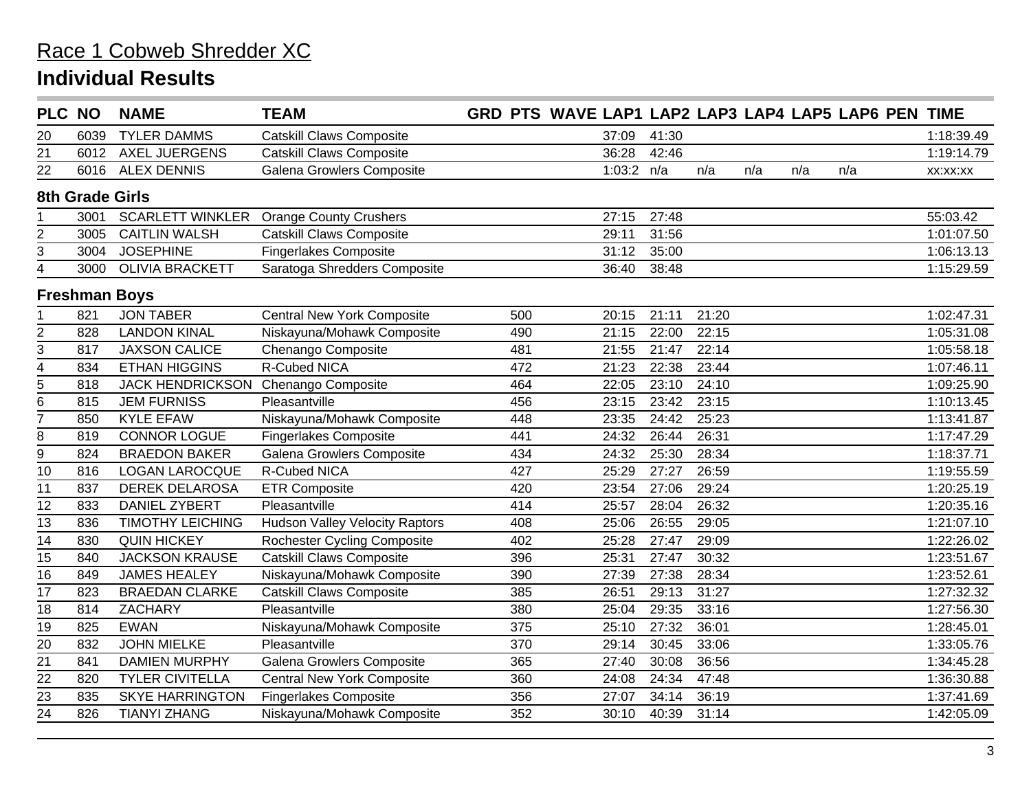| PLC NO                  |                 | <b>NAME</b>             | <b>TEAM</b>                           |     | GRD PTS WAVE LAP1 LAP2 LAP3 LAP4 LAP5 LAP6 PEN TIME |       |       |     |     |     |  |            |
|-------------------------|-----------------|-------------------------|---------------------------------------|-----|-----------------------------------------------------|-------|-------|-----|-----|-----|--|------------|
| 20                      | 6039            | <b>TYLER DAMMS</b>      | <b>Catskill Claws Composite</b>       |     | 37:09                                               | 41:30 |       |     |     |     |  | 1:18:39.49 |
| 21                      | 6012            | <b>AXEL JUERGENS</b>    | <b>Catskill Claws Composite</b>       |     | 36:28                                               | 42:46 |       |     |     |     |  | 1:19:14.79 |
| 22                      | 6016            | <b>ALEX DENNIS</b>      | Galena Growlers Composite             |     | 1:03:2 $n/a$                                        |       | n/a   | n/a | n/a | n/a |  | XX:XX:XX   |
|                         | 8th Grade Girls |                         |                                       |     |                                                     |       |       |     |     |     |  |            |
|                         | 3001            | <b>SCARLETT WINKLER</b> | <b>Orange County Crushers</b>         |     | 27:15                                               | 27:48 |       |     |     |     |  | 55:03.42   |
| $\overline{\mathbf{c}}$ | 3005            | <b>CAITLIN WALSH</b>    | <b>Catskill Claws Composite</b>       |     | 29:11                                               | 31:56 |       |     |     |     |  | 1:01:07.50 |
| 3                       | 3004            | <b>JOSEPHINE</b>        | <b>Fingerlakes Composite</b>          |     | 31:12                                               | 35:00 |       |     |     |     |  | 1:06:13.13 |
| 4                       | 3000            | <b>OLIVIA BRACKETT</b>  | Saratoga Shredders Composite          |     | 36:40                                               | 38:48 |       |     |     |     |  | 1:15:29.59 |
| <b>Freshman Boys</b>    |                 |                         |                                       |     |                                                     |       |       |     |     |     |  |            |
|                         | 821             | <b>JON TABER</b>        | <b>Central New York Composite</b>     | 500 | 20:15                                               | 21:11 | 21:20 |     |     |     |  | 1:02:47.31 |
| $\overline{\mathbf{c}}$ | 828             | <b>LANDON KINAL</b>     | Niskayuna/Mohawk Composite            | 490 | 21:15                                               | 22:00 | 22:15 |     |     |     |  | 1:05:31.08 |
| 3                       | 817             | <b>JAXSON CALICE</b>    | Chenango Composite                    | 481 | 21:55                                               | 21:47 | 22:14 |     |     |     |  | 1:05:58.18 |
| 4                       | 834             | <b>ETHAN HIGGINS</b>    | <b>R-Cubed NICA</b>                   | 472 | 21:23                                               | 22:38 | 23:44 |     |     |     |  | 1:07:46.11 |
| 5                       | 818             | <b>JACK HENDRICKSON</b> | Chenango Composite                    | 464 | 22:05                                               | 23:10 | 24:10 |     |     |     |  | 1:09:25.90 |
| 6                       | 815             | <b>JEM FURNISS</b>      | Pleasantville                         | 456 | 23:15                                               | 23:42 | 23:15 |     |     |     |  | 1:10:13.45 |
| 7                       | 850             | <b>KYLE EFAW</b>        | Niskayuna/Mohawk Composite            | 448 | 23:35                                               | 24:42 | 25:23 |     |     |     |  | 1:13:41.87 |
| 8                       | 819             | <b>CONNOR LOGUE</b>     | <b>Fingerlakes Composite</b>          | 441 | 24:32                                               | 26:44 | 26:31 |     |     |     |  | 1:17:47.29 |
| $\overline{9}$          | 824             | <b>BRAEDON BAKER</b>    | Galena Growlers Composite             | 434 | 24:32                                               | 25:30 | 28:34 |     |     |     |  | 1:18:37.71 |
| 10                      | 816             | <b>LOGAN LAROCQUE</b>   | R-Cubed NICA                          | 427 | 25:29                                               | 27:27 | 26:59 |     |     |     |  | 1:19:55.59 |
| 11                      | 837             | <b>DEREK DELAROSA</b>   | <b>ETR Composite</b>                  | 420 | 23:54                                               | 27:06 | 29:24 |     |     |     |  | 1:20:25.19 |
| 12                      | 833             | <b>DANIEL ZYBERT</b>    | Pleasantville                         | 414 | 25:57                                               | 28:04 | 26:32 |     |     |     |  | 1:20:35.16 |
| $\overline{13}$         | 836             | <b>TIMOTHY LEICHING</b> | <b>Hudson Valley Velocity Raptors</b> | 408 | 25:06                                               | 26:55 | 29:05 |     |     |     |  | 1:21:07.10 |
| 14                      | 830             | <b>QUIN HICKEY</b>      | <b>Rochester Cycling Composite</b>    | 402 | 25:28                                               | 27:47 | 29:09 |     |     |     |  | 1:22:26.02 |
| 15                      | 840             | <b>JACKSON KRAUSE</b>   | <b>Catskill Claws Composite</b>       | 396 | 25:31                                               | 27:47 | 30:32 |     |     |     |  | 1:23:51.67 |
| 16                      | 849             | <b>JAMES HEALEY</b>     | Niskayuna/Mohawk Composite            | 390 | 27:39                                               | 27:38 | 28:34 |     |     |     |  | 1:23:52.61 |
| $\overline{17}$         | 823             | <b>BRAEDAN CLARKE</b>   | <b>Catskill Claws Composite</b>       | 385 | 26:51                                               | 29:13 | 31:27 |     |     |     |  | 1:27:32.32 |
| 18                      | 814             | <b>ZACHARY</b>          | Pleasantville                         | 380 | 25:04                                               | 29:35 | 33:16 |     |     |     |  | 1:27:56.30 |
| 19                      | 825             | <b>EWAN</b>             | Niskayuna/Mohawk Composite            | 375 | 25:10                                               | 27:32 | 36:01 |     |     |     |  | 1:28:45.01 |
| $\overline{20}$         | 832             | <b>JOHN MIELKE</b>      | Pleasantville                         | 370 | 29:14                                               | 30:45 | 33:06 |     |     |     |  | 1:33:05.76 |
| $\overline{21}$         | 841             | <b>DAMIEN MURPHY</b>    | Galena Growlers Composite             | 365 | 27:40                                               | 30:08 | 36:56 |     |     |     |  | 1:34:45.28 |
| 22                      | 820             | <b>TYLER CIVITELLA</b>  | <b>Central New York Composite</b>     | 360 | 24:08                                               | 24:34 | 47:48 |     |     |     |  | 1:36:30.88 |
| 23                      | 835             | <b>SKYE HARRINGTON</b>  | <b>Fingerlakes Composite</b>          | 356 | 27:07                                               | 34:14 | 36:19 |     |     |     |  | 1:37:41.69 |
| $\overline{24}$         | 826             | <b>TIANYI ZHANG</b>     | Niskayuna/Mohawk Composite            | 352 | 30:10                                               | 40:39 | 31:14 |     |     |     |  | 1:42:05.09 |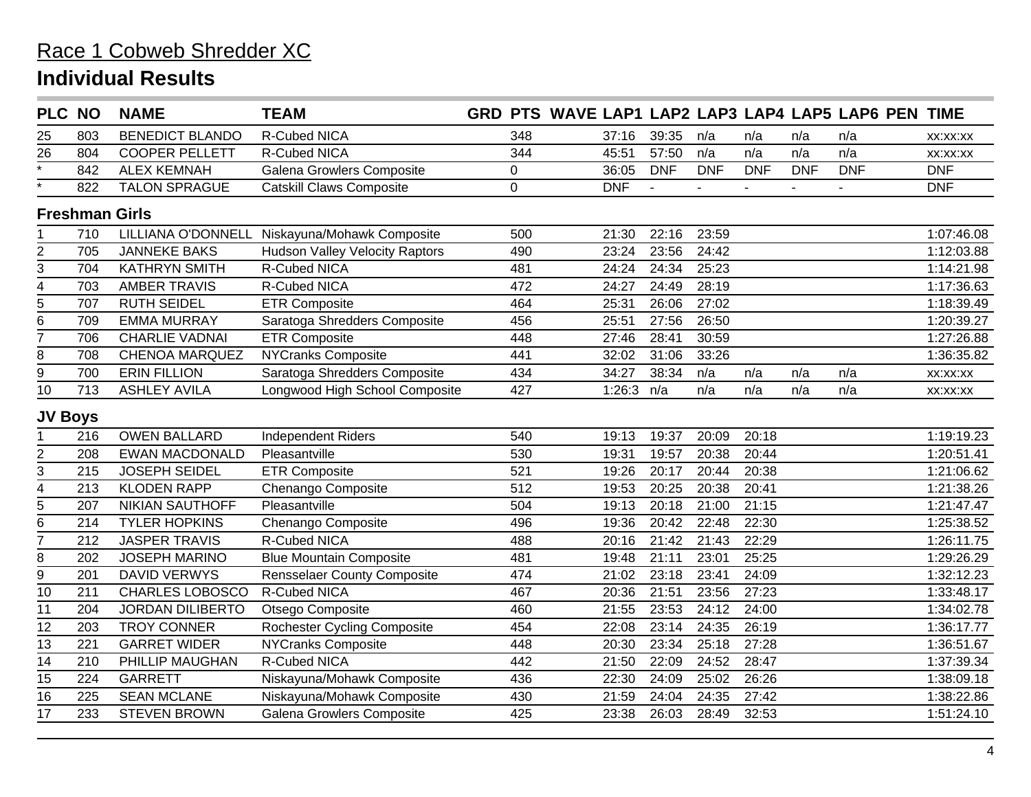| <b>PLC NO</b>      |     | <b>NAME</b>             | <b>TEAM</b>                           |             |              |            |            |            |            | GRD PTS WAVE LAP1 LAP2 LAP3 LAP4 LAP5 LAP6 PEN TIME |            |
|--------------------|-----|-------------------------|---------------------------------------|-------------|--------------|------------|------------|------------|------------|-----------------------------------------------------|------------|
| 25                 | 803 | <b>BENEDICT BLANDO</b>  | <b>R-Cubed NICA</b>                   | 348         | 37:16        | 39:35      | n/a        | n/a        | n/a        | n/a                                                 | XX:XX:XX   |
| 26                 | 804 | <b>COOPER PELLETT</b>   | R-Cubed NICA                          | 344         | 45:51        | 57:50      | n/a        | n/a        | n/a        | n/a                                                 | XX:XX:XX   |
| $\overline{\cdot}$ | 842 | <b>ALEX KEMNAH</b>      | Galena Growlers Composite             | $\pmb{0}$   | 36:05        | <b>DNF</b> | <b>DNF</b> | <b>DNF</b> | <b>DNF</b> | <b>DNF</b>                                          | <b>DNF</b> |
|                    | 822 | <b>TALON SPRAGUE</b>    | <b>Catskill Claws Composite</b>       | $\mathbf 0$ | <b>DNF</b>   |            |            |            |            | $\blacksquare$                                      | <b>DNF</b> |
|                    |     | <b>Freshman Girls</b>   |                                       |             |              |            |            |            |            |                                                     |            |
|                    | 710 | LILLIANA O'DONNELL      | Niskayuna/Mohawk Composite            | 500         | 21:30        | 22:16      | 23:59      |            |            |                                                     | 1:07:46.08 |
| $\overline{2}$     | 705 | <b>JANNEKE BAKS</b>     | <b>Hudson Valley Velocity Raptors</b> | 490         | 23:24        | 23:56      | 24:42      |            |            |                                                     | 1:12:03.88 |
| 3                  | 704 | <b>KATHRYN SMITH</b>    | R-Cubed NICA                          | 481         | 24:24        | 24:34      | 25:23      |            |            |                                                     | 1:14:21.98 |
| 4                  | 703 | <b>AMBER TRAVIS</b>     | R-Cubed NICA                          | 472         | 24:27        | 24:49      | 28:19      |            |            |                                                     | 1:17:36.63 |
| $\overline{5}$     | 707 | <b>RUTH SEIDEL</b>      | <b>ETR Composite</b>                  | 464         | 25:31        | 26:06      | 27:02      |            |            |                                                     | 1:18:39.49 |
| 6                  | 709 | <b>EMMA MURRAY</b>      | Saratoga Shredders Composite          | 456         | 25:51        | 27:56      | 26:50      |            |            |                                                     | 1:20:39.27 |
| 7                  | 706 | <b>CHARLIE VADNAI</b>   | <b>ETR Composite</b>                  | 448         | 27:46        | 28:41      | 30:59      |            |            |                                                     | 1:27:26.88 |
| $\bf 8$            | 708 | <b>CHENOA MARQUEZ</b>   | <b>NYCranks Composite</b>             | 441         | 32:02        | 31:06      | 33:26      |            |            |                                                     | 1:36:35.82 |
| 9                  | 700 | <b>ERIN FILLION</b>     | Saratoga Shredders Composite          | 434         | 34:27        | 38:34      | n/a        | n/a        | n/a        | n/a                                                 | XX:XX:XX   |
| 10                 | 713 | <b>ASHLEY AVILA</b>     | Longwood High School Composite        | 427         | 1:26:3 $n/a$ |            | n/a        | n/a        | n/a        | n/a                                                 | XX:XX:XX   |
| <b>JV Boys</b>     |     |                         |                                       |             |              |            |            |            |            |                                                     |            |
|                    | 216 | <b>OWEN BALLARD</b>     | <b>Independent Riders</b>             | 540         | 19:13        | 19:37      | 20:09      | 20:18      |            |                                                     | 1:19:19.23 |
| $\boldsymbol{2}$   | 208 | <b>EWAN MACDONALD</b>   | Pleasantville                         | 530         | 19:31        | 19:57      | 20:38      | 20:44      |            |                                                     | 1:20:51.41 |
| 3                  | 215 | <b>JOSEPH SEIDEL</b>    | <b>ETR Composite</b>                  | 521         | 19:26        | 20:17      | 20:44      | 20:38      |            |                                                     | 1:21:06.62 |
| $\overline{4}$     | 213 | <b>KLODEN RAPP</b>      | Chenango Composite                    | 512         | 19:53        | 20:25      | 20:38      | 20:41      |            |                                                     | 1:21:38.26 |
| 5                  | 207 | <b>NIKIAN SAUTHOFF</b>  | Pleasantville                         | 504         | 19:13        | 20:18      | 21:00      | 21:15      |            |                                                     | 1:21:47.47 |
| 6                  | 214 | <b>TYLER HOPKINS</b>    | Chenango Composite                    | 496         | 19:36        | 20:42      | 22:48      | 22:30      |            |                                                     | 1:25:38.52 |
| $\overline{7}$     | 212 | <b>JASPER TRAVIS</b>    | R-Cubed NICA                          | 488         | 20:16        | 21:42      | 21:43      | 22:29      |            |                                                     | 1:26:11.75 |
| 8                  | 202 | <b>JOSEPH MARINO</b>    | <b>Blue Mountain Composite</b>        | 481         | 19:48        | 21:11      | 23:01      | 25:25      |            |                                                     | 1:29:26.29 |
| $\overline{9}$     | 201 | <b>DAVID VERWYS</b>     | <b>Rensselaer County Composite</b>    | 474         | 21:02        | 23:18      | 23:41      | 24:09      |            |                                                     | 1:32:12.23 |
| $\overline{10}$    | 211 | CHARLES LOBOSCO         | <b>R-Cubed NICA</b>                   | 467         | 20:36        | 21:51      | 23:56      | 27:23      |            |                                                     | 1:33:48.17 |
| 11                 | 204 | <b>JORDAN DILIBERTO</b> | Otsego Composite                      | 460         | 21:55        | 23:53      | 24:12      | 24:00      |            |                                                     | 1:34:02.78 |
| 12                 | 203 | <b>TROY CONNER</b>      | <b>Rochester Cycling Composite</b>    | 454         | 22:08        | 23:14      | 24:35      | 26:19      |            |                                                     | 1:36:17.77 |
| 13                 | 221 | <b>GARRET WIDER</b>     | <b>NYCranks Composite</b>             | 448         | 20:30        | 23:34      | 25:18      | 27:28      |            |                                                     | 1:36:51.67 |
| $\overline{14}$    | 210 | PHILLIP MAUGHAN         | <b>R-Cubed NICA</b>                   | 442         | 21:50        | 22:09      | 24:52      | 28:47      |            |                                                     | 1:37:39.34 |
| 15                 | 224 | <b>GARRETT</b>          | Niskayuna/Mohawk Composite            | 436         | 22:30        | 24:09      | 25:02      | 26:26      |            |                                                     | 1:38:09.18 |
| $\overline{16}$    | 225 | <b>SEAN MCLANE</b>      | Niskayuna/Mohawk Composite            | 430         | 21:59        | 24:04      | 24:35      | 27:42      |            |                                                     | 1:38:22.86 |
| 17                 | 233 | <b>STEVEN BROWN</b>     | Galena Growlers Composite             | 425         | 23:38        | 26:03      | 28:49      | 32:53      |            |                                                     | 1:51:24.10 |
|                    |     |                         |                                       |             |              |            |            |            |            |                                                     |            |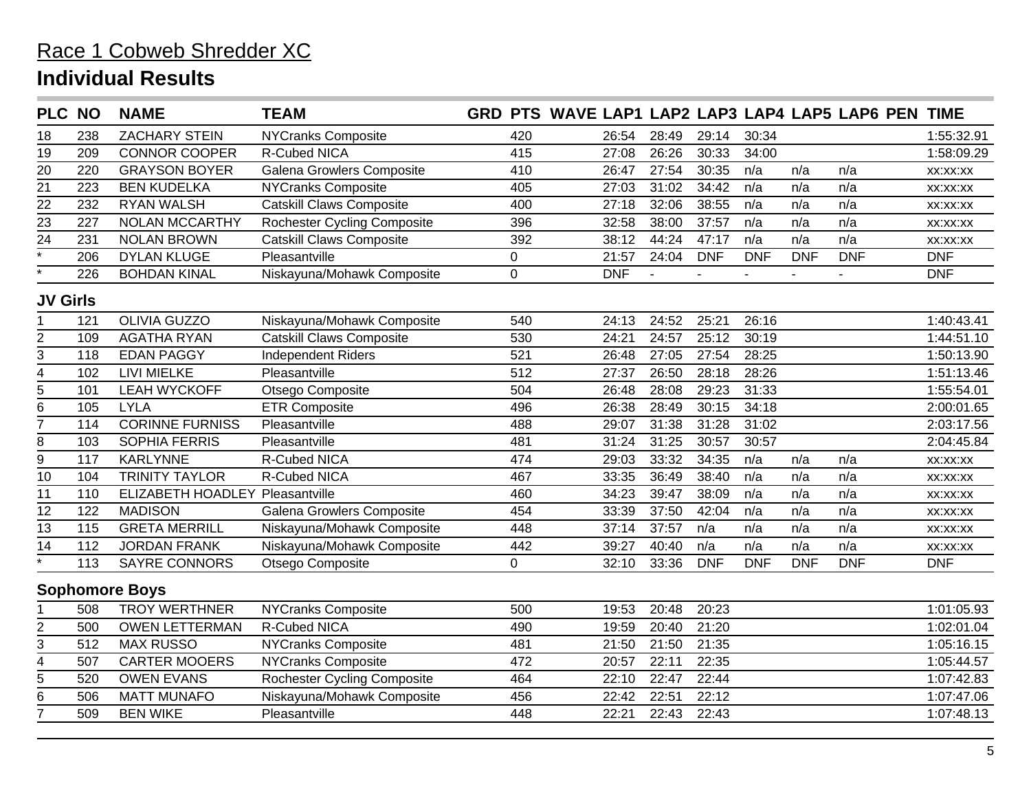| PLC NO             |     | <b>NAME</b>                     | <b>TEAM</b>                        |                | GRD PTS WAVE LAP1 LAP2 LAP3 LAP4 LAP5 LAP6 PEN TIME |                |            |            |            |            |            |
|--------------------|-----|---------------------------------|------------------------------------|----------------|-----------------------------------------------------|----------------|------------|------------|------------|------------|------------|
| 18                 | 238 | <b>ZACHARY STEIN</b>            | <b>NYCranks Composite</b>          | 420            | 26:54                                               | 28:49          | 29:14      | 30:34      |            |            | 1:55:32.91 |
| 19                 | 209 | <b>CONNOR COOPER</b>            | <b>R-Cubed NICA</b>                | 415            | 27:08                                               | 26:26          | 30:33      | 34:00      |            |            | 1:58:09.29 |
| $\overline{20}$    | 220 | <b>GRAYSON BOYER</b>            | Galena Growlers Composite          | 410            | 26:47                                               | 27:54          | 30:35      | n/a        | n/a        | n/a        | XX:XX:XX   |
| $\overline{21}$    | 223 | <b>BEN KUDELKA</b>              | <b>NYCranks Composite</b>          | 405            | 27:03                                               | 31:02          | 34:42      | n/a        | n/a        | n/a        | XX:XX:XX   |
| 22                 | 232 | <b>RYAN WALSH</b>               | <b>Catskill Claws Composite</b>    | 400            | 27:18                                               | 32:06          | 38:55      | n/a        | n/a        | n/a        | XX:XX:XX   |
| $\overline{23}$    | 227 | <b>NOLAN MCCARTHY</b>           | <b>Rochester Cycling Composite</b> | 396            | 32:58                                               | 38:00          | 37:57      | n/a        | n/a        | n/a        | XX:XX:XX   |
| 24                 | 231 | <b>NOLAN BROWN</b>              | <b>Catskill Claws Composite</b>    | 392            | 38:12                                               | 44:24          | 47:17      | n/a        | n/a        | n/a        | XX:XX:XX   |
| $\overline{\cdot}$ | 206 | <b>DYLAN KLUGE</b>              | Pleasantville                      | 0              | 21:57                                               | 24:04          | <b>DNF</b> | <b>DNF</b> | <b>DNF</b> | <b>DNF</b> | <b>DNF</b> |
| $\star$            | 226 | <b>BOHDAN KINAL</b>             | Niskayuna/Mohawk Composite         | $\overline{0}$ | <b>DNF</b>                                          | $\overline{a}$ |            |            |            |            | <b>DNF</b> |
| <b>JV Girls</b>    |     |                                 |                                    |                |                                                     |                |            |            |            |            |            |
|                    | 121 | <b>OLIVIA GUZZO</b>             | Niskayuna/Mohawk Composite         | 540            | 24:13                                               | 24:52          | 25:21      | 26:16      |            |            | 1:40:43.41 |
| 2                  | 109 | <b>AGATHA RYAN</b>              | <b>Catskill Claws Composite</b>    | 530            | 24:21                                               | 24:57          | 25:12      | 30:19      |            |            | 1:44:51.10 |
| 3                  | 118 | <b>EDAN PAGGY</b>               | <b>Independent Riders</b>          | 521            | 26:48                                               | 27:05          | 27:54      | 28:25      |            |            | 1:50:13.90 |
| 4                  | 102 | <b>LIVI MIELKE</b>              | Pleasantville                      | 512            | 27:37                                               | 26:50          | 28:18      | 28:26      |            |            | 1:51:13.46 |
| 5                  | 101 | <b>LEAH WYCKOFF</b>             | Otsego Composite                   | 504            | 26:48                                               | 28:08          | 29:23      | 31:33      |            |            | 1:55:54.01 |
| $\overline{6}$     | 105 | <b>LYLA</b>                     | <b>ETR Composite</b>               | 496            | 26:38                                               | 28:49          | 30:15      | 34:18      |            |            | 2:00:01.65 |
| $\overline{7}$     | 114 | <b>CORINNE FURNISS</b>          | Pleasantville                      | 488            | 29:07                                               | 31:38          | 31:28      | 31:02      |            |            | 2:03:17.56 |
| 8                  | 103 | SOPHIA FERRIS                   | Pleasantville                      | 481            | 31:24                                               | 31:25          | 30:57      | 30:57      |            |            | 2:04:45.84 |
| $\overline{9}$     | 117 | <b>KARLYNNE</b>                 | R-Cubed NICA                       | 474            | 29:03                                               | 33:32          | 34:35      | n/a        | n/a        | n/a        | XX:XX:XX   |
| 10                 | 104 | <b>TRINITY TAYLOR</b>           | R-Cubed NICA                       | 467            | 33:35                                               | 36:49          | 38:40      | n/a        | n/a        | n/a        | XX:XX:XX   |
| 11                 | 110 | ELIZABETH HOADLEY Pleasantville |                                    | 460            | 34:23                                               | 39:47          | 38:09      | n/a        | n/a        | n/a        | XX:XX:XX   |
| $\overline{12}$    | 122 | <b>MADISON</b>                  | Galena Growlers Composite          | 454            | 33:39                                               | 37:50          | 42:04      | n/a        | n/a        | n/a        | XX:XX:XX   |
| 13                 | 115 | <b>GRETA MERRILL</b>            | Niskayuna/Mohawk Composite         | 448            | 37:14                                               | 37:57          | n/a        | n/a        | n/a        | n/a        | XX:XX:XX   |
| 14                 | 112 | <b>JORDAN FRANK</b>             | Niskayuna/Mohawk Composite         | 442            | 39:27                                               | 40:40          | n/a        | n/a        | n/a        | n/a        | XX:XX:XX   |
| $\overline{\cdot}$ | 113 | <b>SAYRE CONNORS</b>            | Otsego Composite                   | 0              | 32:10                                               | 33:36          | <b>DNF</b> | <b>DNF</b> | <b>DNF</b> | <b>DNF</b> | <b>DNF</b> |
|                    |     | <b>Sophomore Boys</b>           |                                    |                |                                                     |                |            |            |            |            |            |
|                    | 508 | <b>TROY WERTHNER</b>            | <b>NYCranks Composite</b>          | 500            | 19:53                                               | 20:48          | 20:23      |            |            |            | 1:01:05.93 |
|                    | 500 | <b>OWEN LETTERMAN</b>           | R-Cubed NICA                       | 490            | 19:59                                               | 20:40          | 21:20      |            |            |            | 1:02:01.04 |
| $\frac{2}{3}$      | 512 | <b>MAX RUSSO</b>                | <b>NYCranks Composite</b>          | 481            | 21:50                                               | 21:50          | 21:35      |            |            |            | 1:05:16.15 |
| $\overline{4}$     | 507 | <b>CARTER MOOERS</b>            | <b>NYCranks Composite</b>          | 472            | 20:57                                               | 22:11          | 22:35      |            |            |            | 1:05:44.57 |
| 5                  | 520 | <b>OWEN EVANS</b>               | <b>Rochester Cycling Composite</b> | 464            | 22:10                                               | 22:47          | 22:44      |            |            |            | 1:07:42.83 |
| 6                  | 506 | <b>MATT MUNAFO</b>              | Niskayuna/Mohawk Composite         | 456            | 22:42                                               | 22:51          | 22:12      |            |            |            | 1:07:47.06 |
| $\overline{7}$     | 509 | <b>BEN WIKE</b>                 | Pleasantville                      | 448            | 22:21                                               | 22:43          | 22:43      |            |            |            | 1:07:48.13 |
|                    |     |                                 |                                    |                |                                                     |                |            |            |            |            |            |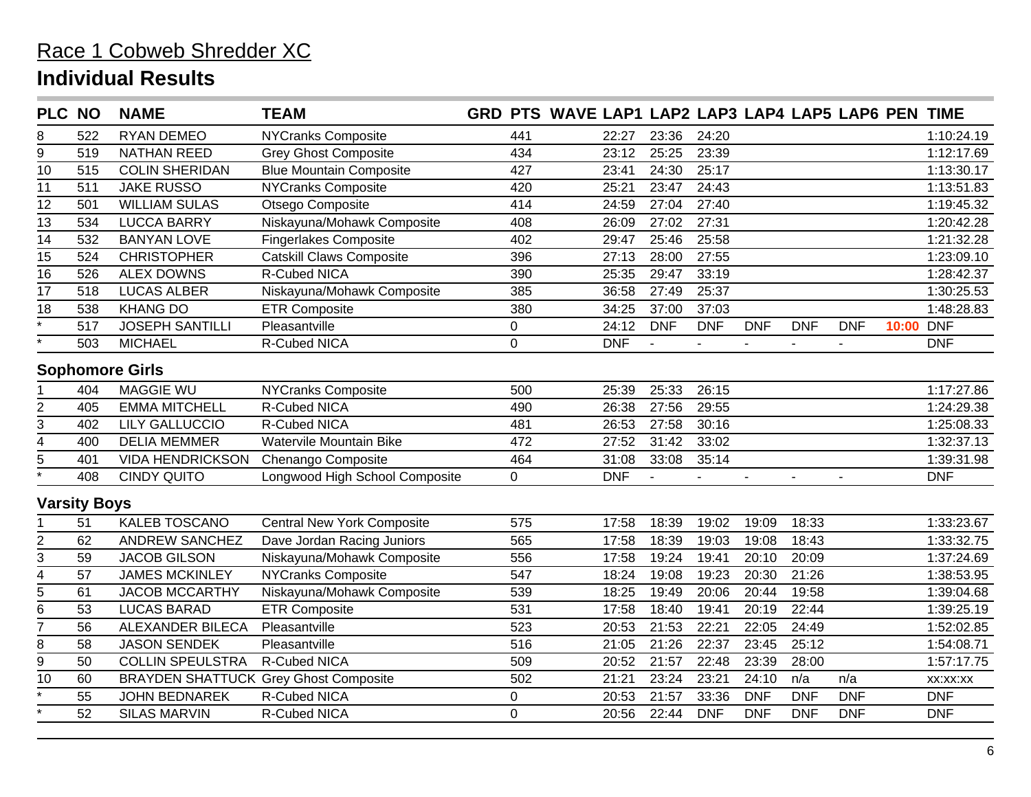| PLC NO             |                        | <b>NAME</b>             | <b>TEAM</b>                                  |  |                | GRD PTS WAVE LAP1 LAP2 LAP3 LAP4 LAP5 LAP6 PEN TIME |                |                          |            |            |            |       |            |
|--------------------|------------------------|-------------------------|----------------------------------------------|--|----------------|-----------------------------------------------------|----------------|--------------------------|------------|------------|------------|-------|------------|
| 8                  | 522                    | <b>RYAN DEMEO</b>       | <b>NYCranks Composite</b>                    |  | 441            | 22:27                                               | 23:36          | 24:20                    |            |            |            |       | 1:10:24.19 |
| 9                  | 519                    | <b>NATHAN REED</b>      | <b>Grey Ghost Composite</b>                  |  | 434            | 23:12                                               | 25:25          | 23:39                    |            |            |            |       | 1:12:17.69 |
| $\overline{10}$    | 515                    | <b>COLIN SHERIDAN</b>   | <b>Blue Mountain Composite</b>               |  | 427            | 23:41                                               | 24:30          | 25:17                    |            |            |            |       | 1:13:30.17 |
| 11                 | 511                    | <b>JAKE RUSSO</b>       | NYCranks Composite                           |  | 420            | 25:21                                               | 23:47          | 24:43                    |            |            |            |       | 1:13:51.83 |
| $\overline{12}$    | 501                    | <b>WILLIAM SULAS</b>    | Otsego Composite                             |  | 414            | 24:59                                               | 27:04          | 27:40                    |            |            |            |       | 1:19:45.32 |
| $\overline{13}$    | 534                    | <b>LUCCA BARRY</b>      | Niskayuna/Mohawk Composite                   |  | 408            | 26:09                                               | 27:02          | 27:31                    |            |            |            |       | 1:20:42.28 |
| 14                 | 532                    | <b>BANYAN LOVE</b>      | <b>Fingerlakes Composite</b>                 |  | 402            | 29:47                                               | 25:46          | 25:58                    |            |            |            |       | 1:21:32.28 |
| 15                 | 524                    | <b>CHRISTOPHER</b>      | <b>Catskill Claws Composite</b>              |  | 396            | 27:13                                               | 28:00          | 27:55                    |            |            |            |       | 1:23:09.10 |
| $\overline{16}$    | 526                    | <b>ALEX DOWNS</b>       | R-Cubed NICA                                 |  | 390            | 25:35                                               | 29:47          | 33:19                    |            |            |            |       | 1:28:42.37 |
| 17                 | 518                    | <b>LUCAS ALBER</b>      | Niskayuna/Mohawk Composite                   |  | 385            | 36:58                                               | 27:49          | 25:37                    |            |            |            |       | 1:30:25.53 |
| $\overline{18}$    | 538                    | <b>KHANG DO</b>         | <b>ETR Composite</b>                         |  | 380            | 34:25                                               | 37:00          | 37:03                    |            |            |            |       | 1:48:28.83 |
| $\overline{\cdot}$ | 517                    | <b>JOSEPH SANTILLI</b>  | Pleasantville                                |  | 0              | 24:12                                               | <b>DNF</b>     | <b>DNF</b>               | <b>DNF</b> | <b>DNF</b> | <b>DNF</b> | 10:00 | <b>DNF</b> |
| $\star$            | 503                    | <b>MICHAEL</b>          | R-Cubed NICA                                 |  | $\mathbf 0$    | <b>DNF</b>                                          | $\blacksquare$ | $\sim$                   |            |            |            |       | <b>DNF</b> |
|                    | <b>Sophomore Girls</b> |                         |                                              |  |                |                                                     |                |                          |            |            |            |       |            |
|                    | 404                    | <b>MAGGIE WU</b>        | <b>NYCranks Composite</b>                    |  | 500            | 25:39                                               | 25:33          | 26:15                    |            |            |            |       | 1:17:27.86 |
| $\overline{2}$     | 405                    | <b>EMMA MITCHELL</b>    | R-Cubed NICA                                 |  | 490            | 26:38                                               | 27:56          | 29:55                    |            |            |            |       | 1:24:29.38 |
| 3                  | 402                    | <b>LILY GALLUCCIO</b>   | R-Cubed NICA                                 |  | 481            | 26:53                                               | 27:58          | 30:16                    |            |            |            |       | 1:25:08.33 |
| 4                  | 400                    | <b>DELIA MEMMER</b>     | Watervile Mountain Bike                      |  | 472            | 27:52                                               | 31:42          | 33:02                    |            |            |            |       | 1:32:37.13 |
| 5                  | 401                    | <b>VIDA HENDRICKSON</b> | Chenango Composite                           |  | 464            | 31:08                                               | 33:08          | 35:14                    |            |            |            |       | 1:39:31.98 |
| $\overline{\cdot}$ | 408                    | <b>CINDY QUITO</b>      | Longwood High School Composite               |  | $\overline{0}$ | <b>DNF</b>                                          |                | $\overline{\phantom{a}}$ |            |            |            |       | <b>DNF</b> |
|                    | <b>Varsity Boys</b>    |                         |                                              |  |                |                                                     |                |                          |            |            |            |       |            |
|                    | 51                     | <b>KALEB TOSCANO</b>    | <b>Central New York Composite</b>            |  | 575            | 17:58                                               | 18:39          | 19:02                    | 19:09      | 18:33      |            |       | 1:33:23.67 |
| $\overline{c}$     | 62                     | <b>ANDREW SANCHEZ</b>   | Dave Jordan Racing Juniors                   |  | 565            | 17:58                                               | 18:39          | 19:03                    | 19:08      | 18:43      |            |       | 1:33:32.75 |
| 3                  | 59                     | <b>JACOB GILSON</b>     | Niskayuna/Mohawk Composite                   |  | 556            | 17:58                                               | 19:24          | 19:41                    | 20:10      | 20:09      |            |       | 1:37:24.69 |
| 4                  | 57                     | <b>JAMES MCKINLEY</b>   | <b>NYCranks Composite</b>                    |  | 547            | 18:24                                               | 19:08          | 19:23                    | 20:30      | 21:26      |            |       | 1:38:53.95 |
| $\overline{5}$     | 61                     | <b>JACOB MCCARTHY</b>   | Niskayuna/Mohawk Composite                   |  | 539            | 18:25                                               | 19:49          | 20:06                    | 20:44      | 19:58      |            |       | 1:39:04.68 |
| 6                  | 53                     | <b>LUCAS BARAD</b>      | <b>ETR Composite</b>                         |  | 531            | 17:58                                               | 18:40          | 19:41                    | 20:19      | 22:44      |            |       | 1:39:25.19 |
| 7                  | 56                     | ALEXANDER BILECA        | Pleasantville                                |  | 523            | 20:53                                               | 21:53          | 22:21                    | 22:05      | 24:49      |            |       | 1:52:02.85 |
| $\bf 8$            | 58                     | <b>JASON SENDEK</b>     | Pleasantville                                |  | 516            | 21:05                                               | 21:26          | 22:37                    | 23:45      | 25:12      |            |       | 1:54:08.71 |
| 9                  | 50                     | <b>COLLIN SPEULSTRA</b> | R-Cubed NICA                                 |  | 509            | 20:52                                               | 21:57          | 22:48                    | 23:39      | 28:00      |            |       | 1:57:17.75 |
| 10                 | 60                     |                         | <b>BRAYDEN SHATTUCK Grey Ghost Composite</b> |  | 502            | 21:21                                               | 23:24          | 23:21                    | 24:10      | n/a        | n/a        |       | XX:XX:XX   |
|                    | 55                     | <b>JOHN BEDNAREK</b>    | R-Cubed NICA                                 |  | $\mathbf 0$    | 20:53                                               | 21:57          | 33:36                    | <b>DNF</b> | <b>DNF</b> | <b>DNF</b> |       | <b>DNF</b> |
|                    | 52                     | <b>SILAS MARVIN</b>     | R-Cubed NICA                                 |  | $\overline{0}$ | 20:56                                               | 22:44          | <b>DNF</b>               | <b>DNF</b> | <b>DNF</b> | <b>DNF</b> |       | <b>DNF</b> |